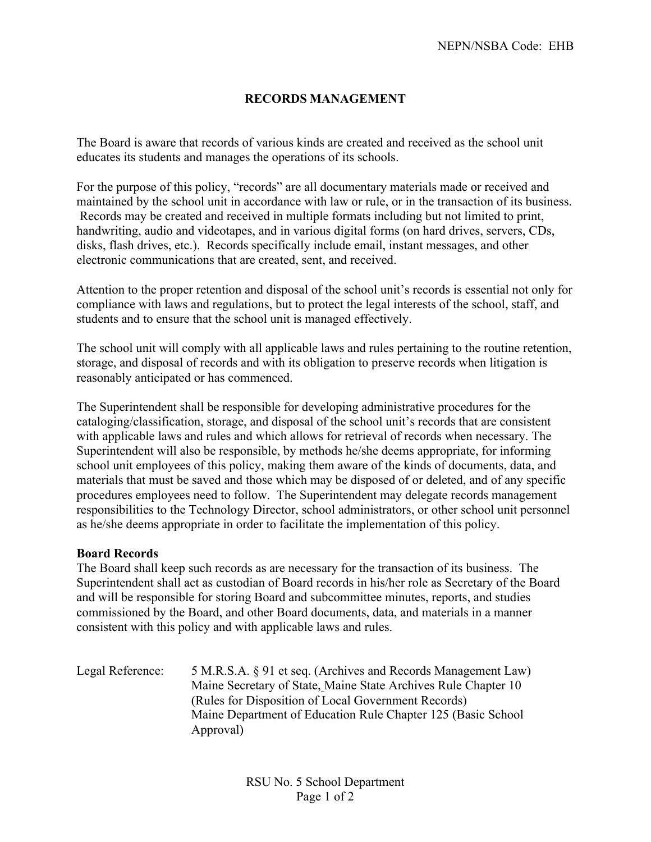## **RECORDS MANAGEMENT**

The Board is aware that records of various kinds are created and received as the school unit educates its students and manages the operations of its schools.

For the purpose of this policy, "records" are all documentary materials made or received and maintained by the school unit in accordance with law or rule, or in the transaction of its business. Records may be created and received in multiple formats including but not limited to print, handwriting, audio and videotapes, and in various digital forms (on hard drives, servers, CDs, disks, flash drives, etc.). Records specifically include email, instant messages, and other electronic communications that are created, sent, and received.

Attention to the proper retention and disposal of the school unit's records is essential not only for compliance with laws and regulations, but to protect the legal interests of the school, staff, and students and to ensure that the school unit is managed effectively.

The school unit will comply with all applicable laws and rules pertaining to the routine retention, storage, and disposal of records and with its obligation to preserve records when litigation is reasonably anticipated or has commenced.

The Superintendent shall be responsible for developing administrative procedures for the cataloging/classification, storage, and disposal of the school unit's records that are consistent with applicable laws and rules and which allows for retrieval of records when necessary. The Superintendent will also be responsible, by methods he/she deems appropriate, for informing school unit employees of this policy, making them aware of the kinds of documents, data, and materials that must be saved and those which may be disposed of or deleted, and of any specific procedures employees need to follow. The Superintendent may delegate records management responsibilities to the Technology Director, school administrators, or other school unit personnel as he/she deems appropriate in order to facilitate the implementation of this policy.

## **Board Records**

The Board shall keep such records as are necessary for the transaction of its business. The Superintendent shall act as custodian of Board records in his/her role as Secretary of the Board and will be responsible for storing Board and subcommittee minutes, reports, and studies commissioned by the Board, and other Board documents, data, and materials in a manner consistent with this policy and with applicable laws and rules.

| Legal Reference: | 5 M.R.S.A. § 91 et seq. (Archives and Records Management Law)  |
|------------------|----------------------------------------------------------------|
|                  | Maine Secretary of State, Maine State Archives Rule Chapter 10 |
|                  | (Rules for Disposition of Local Government Records)            |
|                  | Maine Department of Education Rule Chapter 125 (Basic School)  |
|                  | Approval)                                                      |